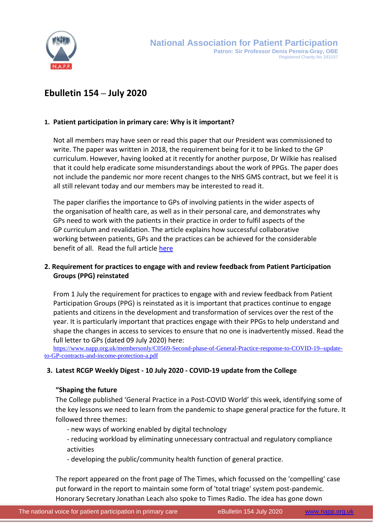

# **Ebulletin 154 – July 2020**

# **1. Patient participation in primary care: Why is it important?**

Not all members may have seen or read this paper that our President was commissioned to write. The paper was written in 2018, the requirement being for it to be linked to the GP curriculum. However, having looked at it recently for another purpose, Dr Wilkie has realised that it could help eradicate some misunderstandings about the work of PPGs. The paper does not include the pandemic nor more recent changes to the NHS GMS contract, but we feel it is all still relevant today and our members may be interested to read it.

The paper clarifies the importance to GPs of involving patients in the wider aspects of the organisation of health care, as well as in their personal care, and demonstrates why GPs need to work with the patients in their practice in order to fulfil aspects of the GP curriculum and revalidation. The article explains how successful collaborative working between patients, GPs and the practices can be achieved for the considerable benefit of all. Read the full article [here](https://www.napp.org.uk/SageArticle.pdf)

# **2. Requirement for practices to engage with and review feedback from Patient Participation Groups (PPG) reinstated**

From 1 July the requirement for practices to engage with and review feedback from Patient Participation Groups (PPG) is reinstated as it is important that practices continue to engage patients and citizens in the development and transformation of services over the rest of the year. It is particularly important that practices engage with their PPGs to help understand and shape the changes in access to services to ensure that no one is inadvertently missed. Read the full letter to GPs (dated 09 July 2020) here:

[https://www.napp.org.uk/membersonly/C0569-Second-phase-of-General-Practice-response-to-COVID-19--update](https://www.napp.org.uk/membersonly/C0569-Second-phase-of-General-Practice-response-to-COVID-19--update-to-GP-contracts-and-income-protection-a.pdf)[to-GP-contracts-and-income-protection-a.pdf](https://www.napp.org.uk/membersonly/C0569-Second-phase-of-General-Practice-response-to-COVID-19--update-to-GP-contracts-and-income-protection-a.pdf)

# **3. Latest RCGP Weekly Digest - 10 July 2020 - COVID-19 update from the College**

# **"Shaping the future**

The College published 'General Practice in a Post-COVID World' this week, identifying some of the key lessons we need to learn from the pandemic to shape general practice for the future. It followed three themes:

- new ways of working enabled by digital technology
- reducing workload by eliminating unnecessary contractual and regulatory compliance activities
- developing the public/community health function of general practice.

The report appeared on the front page of The Times, which focussed on the 'compelling' case put forward in the report to maintain some form of 'total triage' system post-pandemic. Honorary Secretary Jonathan Leach also spoke to Times Radio. The idea has gone down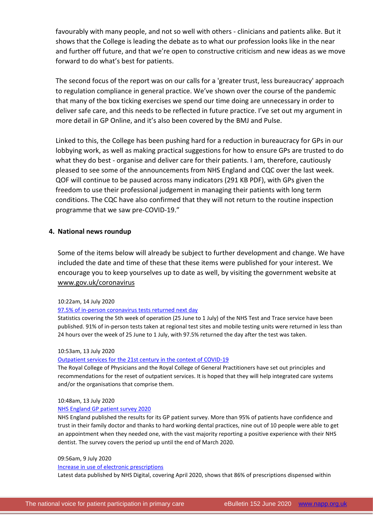favourably with many people, and not so well with others - clinicians and patients alike. But it shows that the College is leading the debate as to what our profession looks like in the near and further off future, and that we're open to constructive criticism and new ideas as we move forward to do what's best for patients.

The second focus of the report was on our calls for a 'greater trust, less bureaucracy' approach to regulation compliance in general practice. We've shown over the course of the pandemic that many of the box ticking exercises we spend our time doing are unnecessary in order to deliver safe care, and this needs to be reflected in future practice. I've set out my argument in more detail in GP Online, and it's also been covered by the BMJ and Pulse.

Linked to this, the College has been pushing hard for a reduction in bureaucracy for GPs in our lobbying work, as well as making practical suggestions for how to ensure GPs are trusted to do what they do best - organise and deliver care for their patients. I am, therefore, cautiously pleased to see some of the announcements from NHS England and CQC over the last week. QOF will continue to be paused across many indicators (291 KB PDF), with GPs given the freedom to use their professional judgement in managing their patients with long term conditions. The CQC have also confirmed that they will not return to the routine inspection programme that we saw pre-COVID-19."

## **4. National news roundup**

Some of the items below will already be subject to further development and change. We have included the date and time of these that these items were published for your interest. We encourage you to keep yourselves up to date as well, by visiting the government website at [www.gov.uk/coronavirus](http://www.gov.uk/coronavirus)

#### 10:22am, 14 July 2020

#### [97.5% of in-person coronavirus tests returned next day](http://www.networks.nhs.uk/networks/news/97-5-of-in-person-coronavirus-tests-returned-next-day)

Statistics covering the 5th week of operation (25 June to 1 July) of the NHS Test and Trace service have been published. 91% of in-person tests taken at regional test sites and mobile testing units were returned in less than 24 hours over the week of 25 June to 1 July, with 97.5% returned the day after the test was taken.

#### 10:53am, 13 July 2020

### [Outpatient services for the 21st century in the context of COVID-19](http://www.networks.nhs.uk/networks/news/outpatient-services-for-the-21st-century-in-the-context-of-covid-19)

The Royal College of Physicians and the Royal College of General Practitioners have set out principles and recommendations for the reset of outpatient services. It is hoped that they will help integrated care systems and/or the organisations that comprise them.

#### 10:48am, 13 July 2020

#### [NHS England GP patient survey 2020](http://www.networks.nhs.uk/networks/news/nhs-england-gp-patient-survey-2020)

NHS England published the results for its GP patient survey. More than 95% of patients have confidence and trust in their family doctor and thanks to hard working dental practices, nine out of 10 people were able to get an appointment when they needed one, with the vast majority reporting a positive experience with their NHS dentist. The survey covers the period up until the end of March 2020.

#### 09:56am, 9 July 2020

#### [Increase in use of electronic prescriptions](http://www.networks.nhs.uk/networks/news/increase-in-use-of-electronic-prescriptions)

Latest data published by NHS Digital, covering April 2020, shows that 86% of prescriptions dispensed within